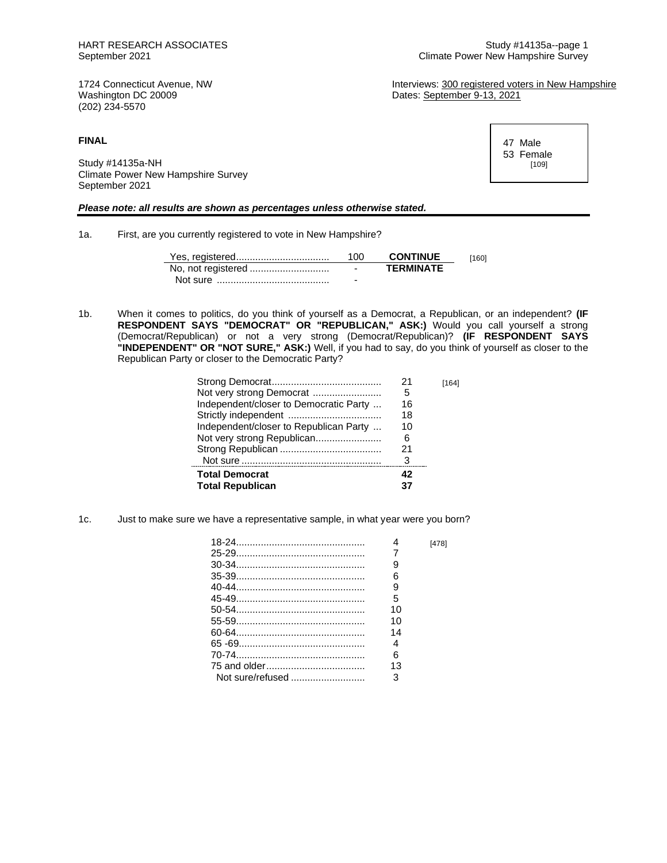Dates: September 9-13, 2021

1724 Connecticut Avenue, NW **Interviews: 300 registered voters in New Hampshire**<br>
Washington DC 20009 **Interviews: September 9-13, 2021** (202) 234-5570

**FINAL**

Study #14135a-NH Climate Power New Hampshire Survey September 2021

## *Please note: all results are shown as percentages unless otherwise stated.*

1a. First, are you currently registered to vote in New Hampshire?

|          | 100                      | <b>CONTINUE</b>  | 1601 |
|----------|--------------------------|------------------|------|
|          | $\overline{\phantom{0}}$ | <b>TFRMINATF</b> |      |
| Not sure | -                        |                  |      |

1b. When it comes to politics, do you think of yourself as a Democrat, a Republican, or an independent? **(IF RESPONDENT SAYS "DEMOCRAT" OR "REPUBLICAN," ASK:)** Would you call yourself a strong (Democrat/Republican) or not a very strong (Democrat/Republican)? **(IF RESPONDENT SAYS "INDEPENDENT" OR "NOT SURE," ASK:)** Well, if you had to say, do you think of yourself as closer to the Republican Party or closer to the Democratic Party?

|                                        | 21 | [164] |
|----------------------------------------|----|-------|
| Not very strong Democrat               | 5  |       |
| Independent/closer to Democratic Party | 16 |       |
|                                        | 18 |       |
| Independent/closer to Republican Party | 10 |       |
|                                        | 6  |       |
|                                        | 21 |       |
|                                        | 3  |       |
| <b>Total Democrat</b>                  | 42 |       |
| <b>Total Republican</b>                |    |       |

1c. Just to make sure we have a representative sample, in what year were you born?

|    | [478] |
|----|-------|
|    |       |
| 9  |       |
| հ  |       |
| 9  |       |
| 5  |       |
| 10 |       |
| 10 |       |
| 14 |       |
| 4  |       |
| 6  |       |
| 13 |       |
| 3  |       |

47 Male 53 Female [109]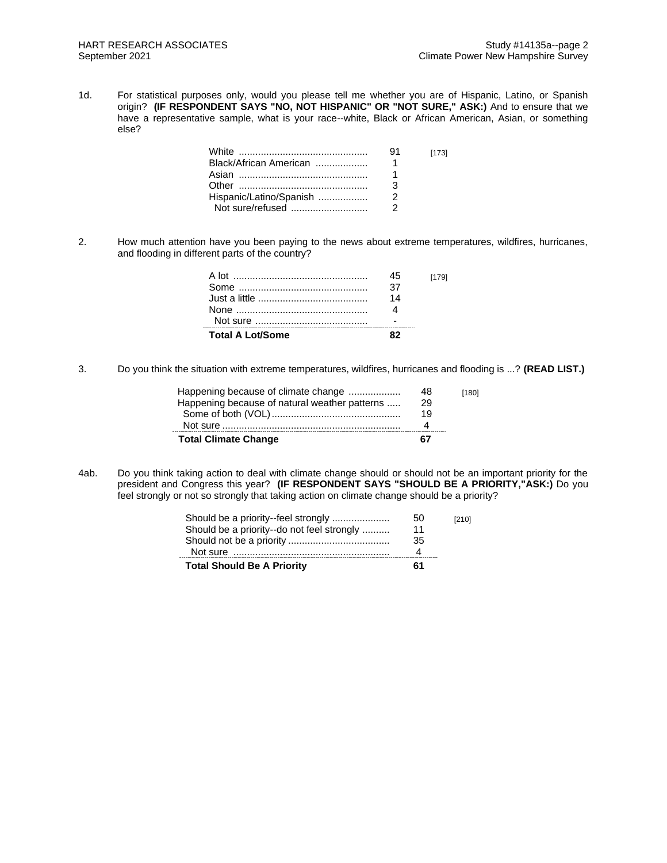1d. For statistical purposes only, would you please tell me whether you are of Hispanic, Latino, or Spanish origin? **(IF RESPONDENT SAYS "NO, NOT HISPANIC" OR "NOT SURE," ASK:)** And to ensure that we have a representative sample, what is your race--white, Black or African American, Asian, or something else?

|                         | .91 | [173] |
|-------------------------|-----|-------|
| Black/African American  |     |       |
|                         |     |       |
|                         |     |       |
| Hispanic/Latino/Spanish |     |       |
| Not sure/refused        |     |       |

2. How much attention have you been paying to the news about extreme temperatures, wildfires, hurricanes, and flooding in different parts of the country?

| <b>Total A Lot/Some</b> |    |       |
|-------------------------|----|-------|
|                         |    |       |
|                         | 14 |       |
|                         | 37 |       |
|                         | 45 | [179] |

3. Do you think the situation with extreme temperatures, wildfires, hurricanes and flooding is ...? **(READ LIST.)**

| <b>Total Climate Change</b>                   | 67 |       |
|-----------------------------------------------|----|-------|
|                                               |    |       |
|                                               | 19 |       |
| Happening because of natural weather patterns | 29 |       |
| Happening because of climate change           | 48 | [180] |

4ab. Do you think taking action to deal with climate change should or should not be an important priority for the president and Congress this year? **(IF RESPONDENT SAYS "SHOULD BE A PRIORITY,"ASK:)** Do you feel strongly or not so strongly that taking action on climate change should be a priority?

| <b>Total Should Be A Priority</b>          | 61 |       |
|--------------------------------------------|----|-------|
|                                            |    |       |
|                                            | 35 |       |
| Should be a priority--do not feel strongly | 11 |       |
|                                            | 50 | [210] |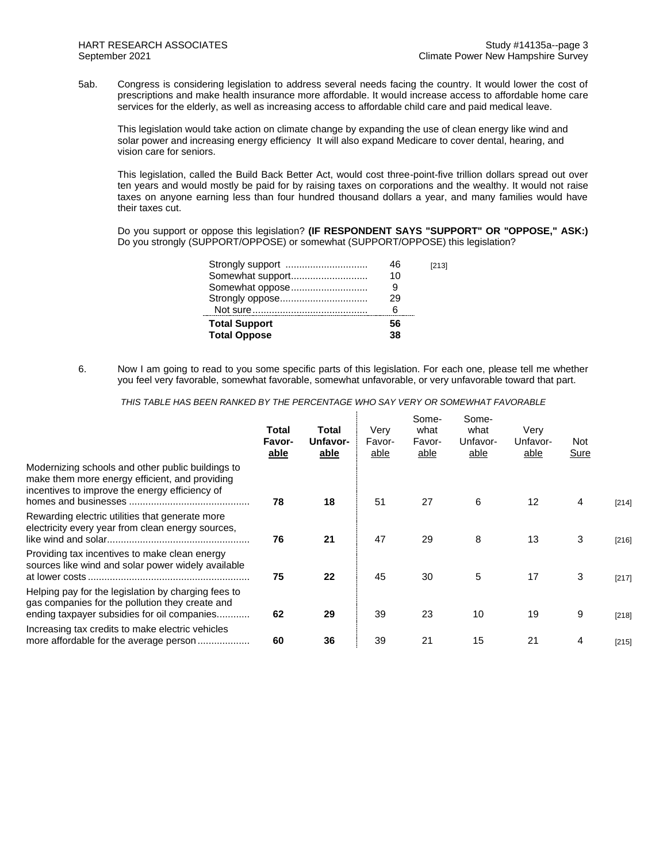5ab. Congress is considering legislation to address several needs facing the country. It would lower the cost of prescriptions and make health insurance more affordable. It would increase access to affordable home care services for the elderly, as well as increasing access to affordable child care and paid medical leave.

This legislation would take action on climate change by expanding the use of clean energy like wind and solar power and increasing energy efficiency It will also expand Medicare to cover dental, hearing, and vision care for seniors.

This legislation, called the Build Back Better Act, would cost three-point-five trillion dollars spread out over ten years and would mostly be paid for by raising taxes on corporations and the wealthy. It would not raise taxes on anyone earning less than four hundred thousand dollars a year, and many families would have their taxes cut.

Do you support or oppose this legislation? **(IF RESPONDENT SAYS "SUPPORT" OR "OPPOSE," ASK:)** Do you strongly (SUPPORT/OPPOSE) or somewhat (SUPPORT/OPPOSE) this legislation?

| 46                         | [213] |
|----------------------------|-------|
| Somewhat support<br>10     |       |
| Somewhat oppose            |       |
| 29                         |       |
|                            |       |
| <b>Total Support</b><br>56 |       |
| <b>Total Oppose</b><br>38  |       |

6. Now I am going to read to you some specific parts of this legislation. For each one, please tell me whether you feel very favorable, somewhat favorable, somewhat unfavorable, or very unfavorable toward that part.

*THIS TABLE HAS BEEN RANKED BY THE PERCENTAGE WHO SAY VERY OR SOMEWHAT FAVORABLE*

|                                                                                                                                                       | Total<br>Favor-<br>able | Total<br>Unfavor-<br>able | Verv<br>Favor-<br>able | Some-<br>what<br>Favor-<br>able | Some-<br>what<br>Unfavor-<br>able | Verv<br>Unfavor-<br>able | <b>Not</b><br>Sure |         |
|-------------------------------------------------------------------------------------------------------------------------------------------------------|-------------------------|---------------------------|------------------------|---------------------------------|-----------------------------------|--------------------------|--------------------|---------|
| Modernizing schools and other public buildings to<br>make them more energy efficient, and providing<br>incentives to improve the energy efficiency of | 78                      | 18                        | 51                     | 27                              | 6                                 | 12                       | 4                  | $[214]$ |
| Rewarding electric utilities that generate more<br>electricity every year from clean energy sources,                                                  | 76                      | 21                        | 47                     | 29                              | 8                                 | 13                       | 3                  | [216]   |
| Providing tax incentives to make clean energy<br>sources like wind and solar power widely available                                                   | 75                      | 22                        | 45                     | 30                              | 5                                 | 17                       | 3                  | [217]   |
| Helping pay for the legislation by charging fees to<br>gas companies for the pollution they create and<br>ending taxpayer subsidies for oil companies | 62                      | 29                        | 39                     | 23                              | 10                                | 19                       | 9                  | [218]   |
| Increasing tax credits to make electric vehicles                                                                                                      | 60                      | 36                        | 39                     | 21                              | 15                                | 21                       | 4                  | [215]   |
|                                                                                                                                                       |                         |                           |                        |                                 |                                   |                          |                    |         |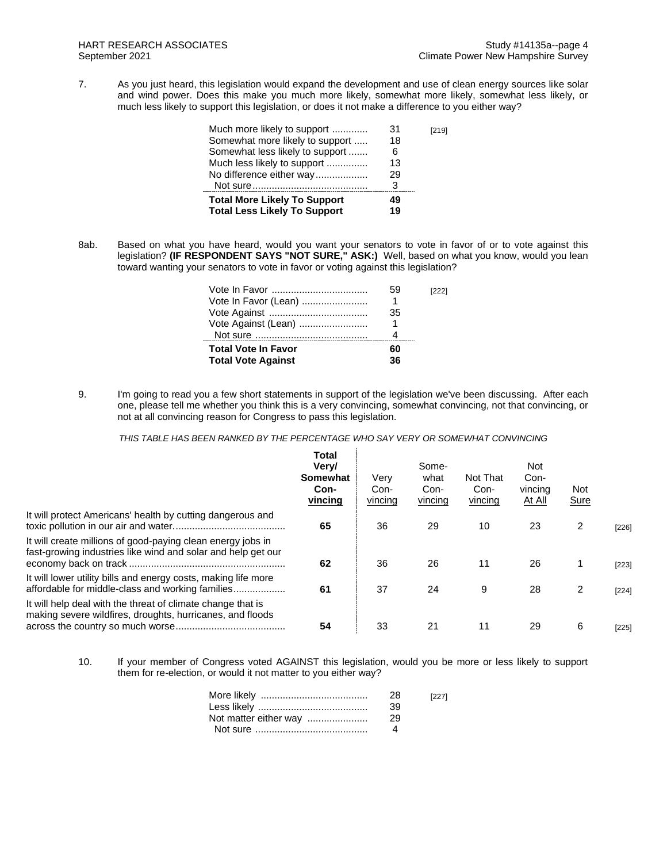7. As you just heard, this legislation would expand the development and use of clean energy sources like solar and wind power. Does this make you much more likely, somewhat more likely, somewhat less likely, or much less likely to support this legislation, or does it not make a difference to you either way?

| Much more likely to support         | 31 | [219] |
|-------------------------------------|----|-------|
| Somewhat more likely to support     | 18 |       |
| Somewhat less likely to support     | 6  |       |
| Much less likely to support         | 13 |       |
| No difference either way            | 29 |       |
|                                     | 3  |       |
| <b>Total More Likely To Support</b> | 49 |       |
| <b>Total Less Likely To Support</b> | 19 |       |
|                                     |    |       |

8ab. Based on what you have heard, would you want your senators to vote in favor of or to vote against this legislation? **(IF RESPONDENT SAYS "NOT SURE," ASK:)** Well, based on what you know, would you lean toward wanting your senators to vote in favor or voting against this legislation?

| Vote In Favor (Lean)<br>Vote Against (Lean)             | 59<br>1<br>35<br>1 | [222] |
|---------------------------------------------------------|--------------------|-------|
| <b>Total Vote In Favor</b><br><b>Total Vote Against</b> | 60<br>36           |       |

9. I'm going to read you a few short statements in support of the legislation we've been discussing. After each one, please tell me whether you think this is a very convincing, somewhat convincing, not that convincing, or not at all convincing reason for Congress to pass this legislation.

*THIS TABLE HAS BEEN RANKED BY THE PERCENTAGE WHO SAY VERY OR SOMEWHAT CONVINCING*

|                                                                                                                             | <b>Total</b><br>Very/<br>Somewhat<br>Con-<br>vincing | Verv<br>Con-<br>vincing | Some-<br>what<br>Con-<br>vincing | Not That<br>Con-<br>vincing | <b>Not</b><br>Con-<br>vincing<br><u>At All</u> | Not<br><b>Sure</b> |       |
|-----------------------------------------------------------------------------------------------------------------------------|------------------------------------------------------|-------------------------|----------------------------------|-----------------------------|------------------------------------------------|--------------------|-------|
| It will protect Americans' health by cutting dangerous and                                                                  | 65                                                   | 36                      | 29                               | 10                          | 23                                             | 2                  | [226] |
| It will create millions of good-paying clean energy jobs in<br>fast-growing industries like wind and solar and help get our | 62                                                   | 36                      | 26                               | 11                          | 26                                             |                    | [223] |
| It will lower utility bills and energy costs, making life more<br>affordable for middle-class and working families          | 61                                                   | 37                      | 24                               | 9                           | 28                                             | 2                  | [224] |
| It will help deal with the threat of climate change that is<br>making severe wildfires, droughts, hurricanes, and floods    | 54                                                   | 33                      | 21                               | 11                          | 29                                             | 6                  | [225] |

10. If your member of Congress voted AGAINST this legislation, would you be more or less likely to support them for re-election, or would it not matter to you either way?

|                       | 28   | [227] |
|-----------------------|------|-------|
|                       | -39  |       |
| Not matter either way | - 29 |       |
|                       |      |       |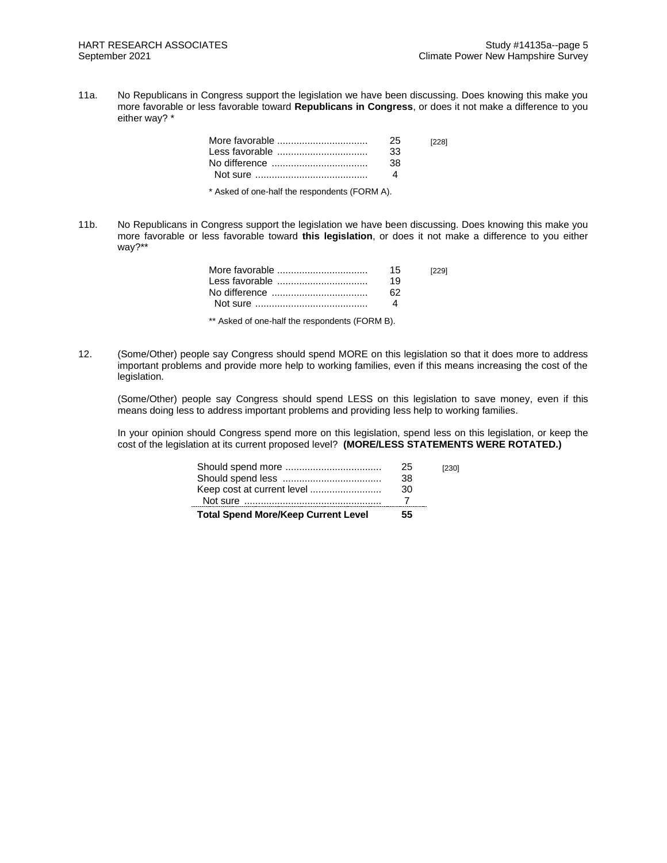11a. No Republicans in Congress support the legislation we have been discussing. Does knowing this make you more favorable or less favorable toward **Republicans in Congress**, or does it not make a difference to you either way? \*

|                                               | 25<br>-33<br>38 | [228] |
|-----------------------------------------------|-----------------|-------|
| * Asked of one-half the respondents (FORM A). |                 |       |

11b. No Republicans in Congress support the legislation we have been discussing. Does knowing this make you more favorable or less favorable toward **this legislation**, or does it not make a difference to you either way?\*\*

| 15 | [229] |
|----|-------|
| 19 |       |
| 62 |       |
|    |       |
|    |       |

\*\* Asked of one-half the respondents (FORM B).

12. (Some/Other) people say Congress should spend MORE on this legislation so that it does more to address important problems and provide more help to working families, even if this means increasing the cost of the legislation.

(Some/Other) people say Congress should spend LESS on this legislation to save money, even if this means doing less to address important problems and providing less help to working families.

In your opinion should Congress spend more on this legislation, spend less on this legislation, or keep the cost of the legislation at its current proposed level? **(MORE/LESS STATEMENTS WERE ROTATED.)**

| <b>Total Spend More/Keep Current Level</b> | 55 |       |
|--------------------------------------------|----|-------|
|                                            |    |       |
| Keep cost at current level                 | 30 |       |
|                                            | 38 |       |
|                                            | 25 | [230] |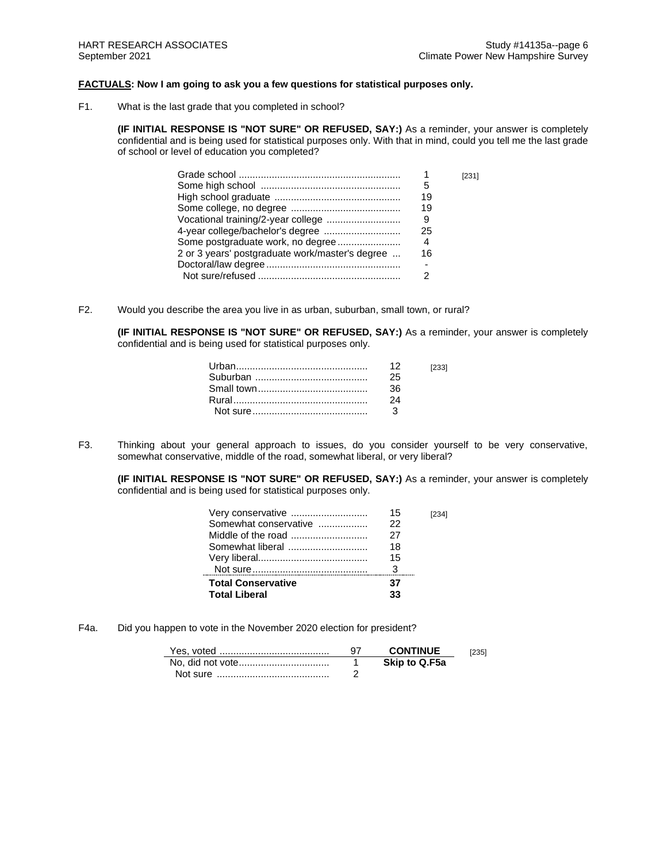## **FACTUALS: Now I am going to ask you a few questions for statistical purposes only.**

F1. What is the last grade that you completed in school?

**(IF INITIAL RESPONSE IS "NOT SURE" OR REFUSED, SAY:)** As a reminder, your answer is completely confidential and is being used for statistical purposes only. With that in mind, could you tell me the last grade of school or level of education you completed?

| 5<br>19<br>19<br>Vocational training/2-year college<br>9<br>25<br>Some postgraduate work, no degree<br>4<br>2 or 3 years' postgraduate work/master's degree<br>16 |  | [231] |
|-------------------------------------------------------------------------------------------------------------------------------------------------------------------|--|-------|
|                                                                                                                                                                   |  |       |
|                                                                                                                                                                   |  |       |
|                                                                                                                                                                   |  |       |
|                                                                                                                                                                   |  |       |
|                                                                                                                                                                   |  |       |
|                                                                                                                                                                   |  |       |
|                                                                                                                                                                   |  |       |
|                                                                                                                                                                   |  |       |
|                                                                                                                                                                   |  |       |

F2. Would you describe the area you live in as urban, suburban, small town, or rural?

**(IF INITIAL RESPONSE IS "NOT SURE" OR REFUSED, SAY:)** As a reminder, your answer is completely confidential and is being used for statistical purposes only.

|      | [233] |
|------|-------|
| -25  |       |
| -36- |       |
| 24   |       |
|      |       |

F3. Thinking about your general approach to issues, do you consider yourself to be very conservative, somewhat conservative, middle of the road, somewhat liberal, or very liberal?

**(IF INITIAL RESPONSE IS "NOT SURE" OR REFUSED, SAY:)** As a reminder, your answer is completely confidential and is being used for statistical purposes only.

| Very conservative         | 15 |  |
|---------------------------|----|--|
| Somewhat conservative     | 22 |  |
|                           | 27 |  |
|                           | 18 |  |
|                           | 15 |  |
|                           |    |  |
| <b>Total Conservative</b> | 37 |  |
| <b>Total Liberal</b>      | 33 |  |

F4a. Did you happen to vote in the November 2020 election for president?

|          | <b>CONTINUE</b> | 12351 |
|----------|-----------------|-------|
|          | Skip to Q.F5a   |       |
| Not sure |                 |       |